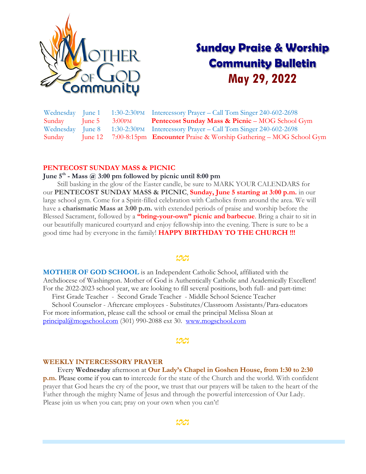

# **Sunday Praise & Worship Community Bulletin May 29, 2022**

| Wednesday June 1 |           | 1:30-2:30PM Intercessory Prayer – Call Tom Singer 240-602-2698                  |
|------------------|-----------|---------------------------------------------------------------------------------|
| Sunday June 5    | $3:00$ PM | Pentecost Sunday Mass & Picnic - MOG School Gym                                 |
|                  |           | Wednesday June 8 1:30-2:30PM Intercessory Prayer – Call Tom Singer 240-602-2698 |
| Sunday           |           | June 12 7:00-8:15pm Encounter Praise & Worship Gathering – MOG School Gym       |

#### **PENTECOST SUNDAY MASS & PICNIC**

#### **June 5th - Mass @ 3:00 pm followed by picnic until 8:00 pm**

 Still basking in the glow of the Easter candle, be sure to MARK YOUR CALENDARS for our **PENTECOST SUNDAY MASS & PICNIC**, **Sunday, June 5 starting at 3:00 p.m.** in our large school gym. Come for a Spirit-filled celebration with Catholics from around the area. We will have a **charismatic Mass at 3:00 p.m.** with extended periods of praise and worship before the Blessed Sacrament, followed by a **"bring-your-own" picnic and barbecue**. Bring a chair to sit in our beautifully manicured courtyard and enjoy fellowship into the evening. There is sure to be a good time had by everyone in the family! **HAPPY BIRTHDAY TO THE CHURCH !!!**

**MOTHER OF GOD SCHOOL** is an Independent Catholic School, affiliated with the Archdiocese of Washington. Mother of God is Authentically Catholic and Academically Excellent! For the 2022-2023 school year, we are looking to fill several positions, both full- and part-time:

 First Grade Teacher - Second Grade Teacher - Middle School Science Teacher School Counselor - Aftercare employees - Substitutes/Classroom Assistants/Para-educators

For more information, please call the school or email the principal Melissa Sloan at [principal@mogschool.com](mailto:principal@mogschool.com) (301) 990-2088 ext 30. <www.mogschool.com>

#### <u>rag</u>

#### **WEEKLY INTERCESSORY PRAYER**

 Every **Wednesday** afternoon at **Our Lady's Chapel in Goshen House, from 1:30 to 2:30 p.m.** Please come if you can to intercede for the state of the Church and the world. With confident prayer that God hears the cry of the poor, we trust that our prayers will be taken to the heart of the Father through the mighty Name of Jesus and through the powerful intercession of Our Lady. Please join us when you can; pray on your own when you can't!

ಯ